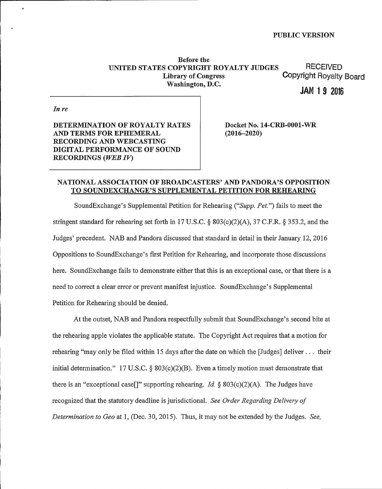Before the UNITED STATES COPYRIGHT ROYALTY JUDGES<br>Library of Congress Copyright Royalty Washington, D.C.

Copyright Royalty Board

**JAN 1 9 2016** 

In re

DETERMINATION OF ROYALTY RATES AND TERMS FOR EPHEMERAL RECORDING AND WEBCASTING DIGITAL PERFORMANCE OF SOUND RECORDINGS (WEB IV)

Docket No. 14-CRB-0001-WR (2016-2020)

#### NATIONAL ASSOCIATION OF BROADCASTERS' AND PANDORA'S OPPOSITION TO SOUNDEXCHANGE'S SUPPLEMENTAL PETITION FOR REHEARING

SoundExchange's Supplemental Petition for Rehearing ("Supp. Pet.") fails to meet the stringent standard for rehearing set forth in 17 U.S.C. \$ 803(c)(2)(A), 37 C.F.R. \$ 353.2, and the Judges' precedent. NAB and Pandora discussed that standard in detail in their January 12, 2016 Oppositions to SoundExchange's first Petition for Rehearing, and incorporate those discussions here. SoundExchange fails to demonstrate either that this is an exceptional case, or that there is a need to correct a clear error or prevent manifest injustice. SoundExchange's Supplemental Petition for Rehearing should be denied.

At the outset, NAB and Pandora respectfully submit that SoundExchange's second bite at the rehearing apple violates the applicable statute. The Copyright Act requires that a motion for rehearing "may only be filed within 15 days after the date on which the [Judges] deliver... their initial determination." 17 U.S.C. §  $803(c)(2)(B)$ . Even a timely motion must demonstrate that there is an "exceptional case[]" supporting rehearing. Id.  $\S 803(c)(2)(A)$ . The Judges have recognized that the statutory deadline is jurisdictional. See Order Regarding Delivery of Determination to Geo at 1, (Dec. 30, 2015). Thus, it may not be extended by the Judges. See,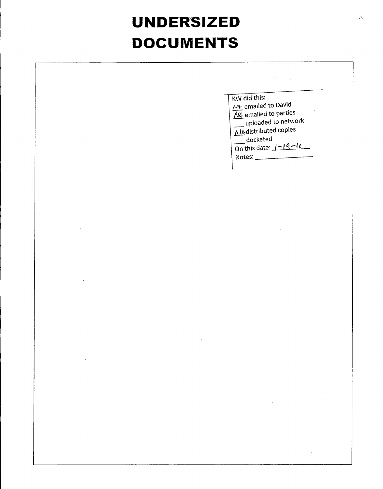## **UNDERSIZED DOCUMENTS**

|                                                                                                                         | KW did this:<br>M- emailed to David<br>M4 emailed to parties<br>uploaded to network<br><b>NIA</b> distributed copies<br>$\frac{1}{2}$ docketed<br>On this date: $1-19-11$<br>Notes: |
|-------------------------------------------------------------------------------------------------------------------------|-------------------------------------------------------------------------------------------------------------------------------------------------------------------------------------|
|                                                                                                                         |                                                                                                                                                                                     |
|                                                                                                                         |                                                                                                                                                                                     |
|                                                                                                                         |                                                                                                                                                                                     |
|                                                                                                                         | $\bullet$                                                                                                                                                                           |
| $\mathcal{L}(\mathcal{L})$ and $\mathcal{L}(\mathcal{L})$ and $\mathcal{L}(\mathcal{L})$ and $\mathcal{L}(\mathcal{L})$ |                                                                                                                                                                                     |
|                                                                                                                         | $\mathcal{L}^{\text{max}}_{\text{max}}$ and $\mathcal{L}^{\text{max}}_{\text{max}}$                                                                                                 |

٦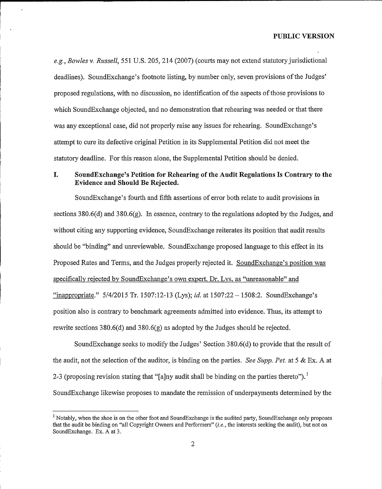e.g., Bowles v. Russell, 551 U.S. 205, 214 (2007) (courts may not extend statutory jurisdictional deadlines). SoundExchange's footnote listing, by number only, seven provisions of the Judges' proposed regulations, with no discussion, no identification of the aspects of those provisions to which SoundExchange objected, and no demonstration that rehearing was needed or that there was any exceptional case, did not properly raise any issues for rehearing. SoundExchange's attempt to cure its defective original Petition in its Supplemental Petition did not meet the statutory deadline. For this reason alone, the Supplemental Petition should be denied.

#### I. SoundExchange's Petition for Rehearing of the Audit Regulations Is Contrary to the Evidence and Should Be Rejected.

SoundExchange's fourth and fifth assertions of error both relate to audit provisions in sections 380,6(d) and 380.6(g). In essence, contrary to the regulations adopted by the Judges, and without citing any supporting evidence, SoundExchange reiterates its position that audit results should be "binding" and unreviewable. SoundExchange proposed language to this effect in its Proposed Rates and Terms, and the Judges properly rejected it. SoundExchange's position was specifically rejected by SoundExchange's own expert, Dr. Lys, as "unreasonable" and "inappropriate."  $5/4/2015$  Tr. 1507:12-13 (Lys); id. at 1507:22 - 1508:2. SoundExchange's position also is contrary to benchmark agreements admitted into evidence. Thus, its attempt to rewrite sections  $380.6(d)$  and  $380.6(g)$  as adopted by the Judges should be rejected.

SoundExchange seeks to modify the Judges' Section  $380.6(d)$  to provide that the result of the audit, not the selection of the auditor, is binding on the parties. See Supp. Pet. at 5 & Ex. A at 2-3 (proposing revision stating that "[a]ny audit shall be binding on the parties thereto"). likewise proposes to mandate the remission of underpayments determined by the

<sup>&</sup>lt;sup>1</sup> Notably, when the shoe is on the other foot and SoundExchange is the audited party, SoundExchange only proposes that the audit be binding on "all Copyright Owners and Performers" (i.e., the interests seeking the audit), but not on SoundExchange. Ex. A at 3.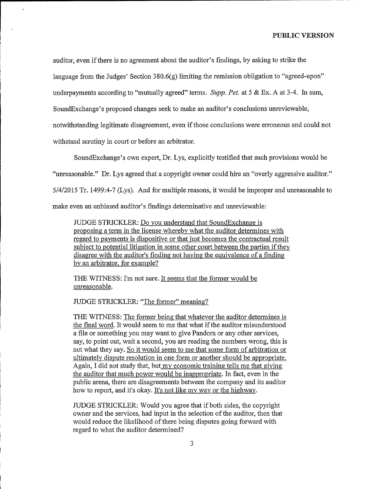auditor, even if there is no agreement about the auditor's findings, by asking to strike the language from the Judges' Section 380.6(g) limiting the remission obligation to "agreed-upon" underpayments according to "mutually agreed" terms. Supp. Pet. at  $5 \& Ex. A$  at 3-4. In sum, SoundExchange's proposed changes seek to make an auditor's conclusions unreviewable, notwithstanding legitimate disagreement, even ifthose conclusions were erroneous and could not withstand scrutiny in court or before an arbitrator.

SoundExchange's own expert, Dr. Lys, explicitly testified that such provisions would be

"unreasonable." Dr. Lys agreed that a copyright owner could hire an "overly aggressive auditor."

5/4/2015 Tr. 1499:4-7 (Lys). And for multiple reasons, it would be improper and unreasonable to

make even an unbiased auditor's findings determinative and unreviewable:

JUDGE STRICKLER: Do vou understand that SoundExchanee is proposine a term in the license wherebv what the auditor determines with regard to payments is dispositive or that just becomes the contractual result subject to potential litigation in some other court between the parties if they disagree with the auditor's finding not having the equivalence of a finding bv an arbitrator. for example?

THE WITNESS: I'm not sure. It seems that the former would be unreasonable.

JUDGE STRICKLER: "The former" meaning?

THE WITNESS: The former being that whatever the auditor determines is the final word. It would seem to me that what if the auditor misunderstood a file or something you may want to give Pandora or any other services, say, to point out, wait a second, you are reading the numbers wrong, this is not what they say. So it would seem to me that some form of arbitration or ultimatelv dispute resolution in one form or another should be appropriate. Again, I did not study that, but my economic training tells me that giving the auditor that much power would be inappropriate. In fact, even in the public arena, there are disagreements between the company and its auditor how to report, and it's okay. It's not like my way or the highway.

JUDGE STRICKLER: Would you agree that if both sides, the copyright owner and the services, had input in the selection of the auditor, then that would reduce the likelihood of there being disputes going forward with regard to what the auditor determined?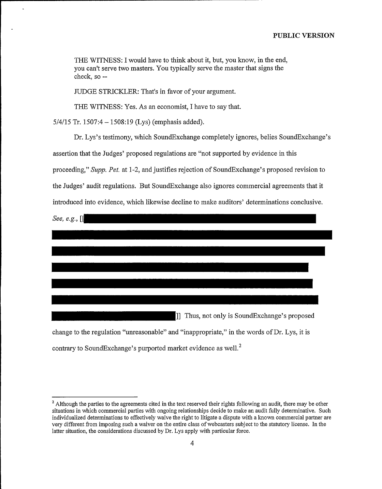THE WITNESS: I would have to think about it, but, you know, in the end, you can't serve two masters. You typically serve the master that signs the check, so—

JUDGE STRICKLER: That's in favor of your argument.

THE WITNESS: Yes. As an economist, I have to say that.

5/4/15 Tr. 1507:4 — 1508:19 (Lys) (emphasis added).

Dr. Lys's testimony, which SoundExchange completely ignores, belies SoundExchange's assertion that the Judges' proposed regulations are "not supported by evidence in this proceeding," Supp, Pet, at 1-2, and justifies rejection of SoundExchange's proposed revision to the Judges' audit regulations. But SoundExchange also ignores commercial agreements that it introduced into evidence, which likewise decline to make auditors' determinations conclusive.

| See, e.g., [[                                                                               |
|---------------------------------------------------------------------------------------------|
|                                                                                             |
|                                                                                             |
|                                                                                             |
|                                                                                             |
|                                                                                             |
| [1] Thus, not only is SoundExchange's proposed                                              |
| change to the regulation "unreasonable" and "inappropriate," in the words of Dr. Lys, it is |
| contrary to SoundExchange's purported market evidence as well. <sup>2</sup>                 |

<sup>&</sup>lt;sup>2</sup> Although the parties to the agreements cited in the text reserved their rights following an audit, there may be other situations in which commercial parties with ongoing relationships decide to make an audit fully determinative. Such individualized determinations to effectively waive the right to litigate a dispute with a known commercial partner are very different from imposing such a waiver on the entire class of webcasters subject to the statutory license. In the latter situation, the considerations discussed by Dr. Lys apply with particular force.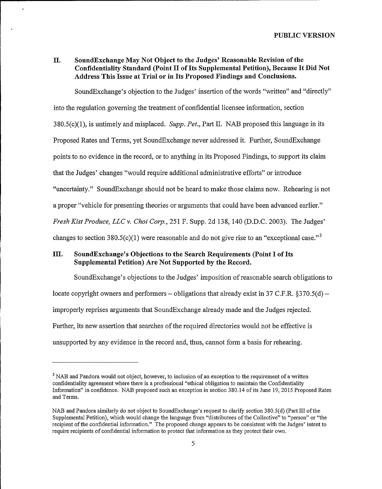#### II. SoundExchange May Not Object to the Judges' Reasonable Revision of the Confidentiality Standard (Point II of Its Supplemental Petition), Because It Did Not Address This Issue at Trial or in Its Proposed Findings and Conclusions.

SoundExchange's objection to the Judges' insertion of the words "written" and "directly" into the regulation governing the treatment of confidential licensee information, section 380.5(c)(1), is untimely and misplaced. Supp. Pet., Part II. NAB proposed this language in its Proposed Rates and Terms, yet SoundExchange never addressed it. Further, SoundExchange

points to no evidence in the record, or to anything in its Proposed Findings, to support its claim

that the Judges' changes "would require additional administrative efforts" or introduce

"uncertainty." SoundExchange should not be heard to make those claims now. Rehearing is not

a proper "vehicle for presenting theories or arguments that could have been advanced earlier."

Fresh Kist Produce, LLC v. Choi Corp., 251 F. Supp. 2d 138, 140 (D.D.C. 2003). The Judges'<br>changes to section 380.5(c)(1) were reasonable and do not give rise to an "exceptional case."<sup>3</sup><br>III. SoundExchange's Objections t

#### SoundExchange's Objections to the Search Requirements (Point I of Its Supplemental Petition) Are Not Supported by the Record.

SoundExchange's objections to the Judges' imposition of reasonable search obligations to locate copyright owners and performers – obligations that already exist in 37 C.F.R.  $\S 370.5(d)$  – improperly reprises arguments that SoundExchange already made and the Judges rejected. Further, its new assertion that searches of the required directories would not be effective is unsupported by any evidence in the record and, thus, cannot form a basis for rehearing.

<sup>&</sup>lt;sup>3</sup> NAB and Pandora would not object, however, to inclusion of an exception to the requirement of a written confidentiality agreement where there is a professional "ethical obligation to maintain the Confidentiality Information" in confidence. NAB proposed such an exception in section 380.14 ofits June 19, 2015 Proposed Rates and Terms.

NAB and Pandora similarly do not object to SoundExchange's request to clarify section 380.5(d) (Part III ofthe Supplemental Petition), which would change the language fiom "distributees ofthe Collective" to "person" or "the recipient of the confidential information." The proposed change appears to be consistent with the Judges' intent to require recipients of confidential information to protect that information as they protect their own.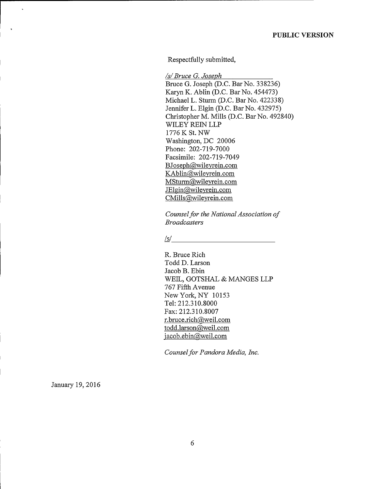Respectfully submitted,

**/s/ Bruce G. Joseph** Bruce G. Joseph (D.C. Bar No. 338236) Karyn K. Ablin (D.C. Bar No. 454473) Michael L. Sturm (D.C. Bar No. 422338) Jennifer L. Elgin (D.C. Bar No. 432975) Christopher M. Mills (D.C. Bar No. 492840) WILEY REIN LLP 1776 K St. NW Washington, DC 20006 Phone: 202-719-7000 Facsimile; 202-719-7049 BJoseph@wileyrein.com KAblin@wileyrein.com MSturm@wileyrein.com<br>JElgin@wileyrein.com CMills@wileyrein.com

Counsel for the National Association of Broadcasters

#### $\sqrt{s}$ /s/

R. Bruce Rich Todd D. Larson Jacob B. Ebin WEIL, GOTSHAL & MANGES LLP 767 Fifth Avenue New York, NY 10153 Tel: 212.310.8000 Fax: 212.310.8007<br>r.bruce.rich@weil.com todd.larson@weil.com  $\overline{\text{jacob.ebin}(\text{a}}$ weil.com

Counsel for Pandora Media, Inc.

January 19, 2016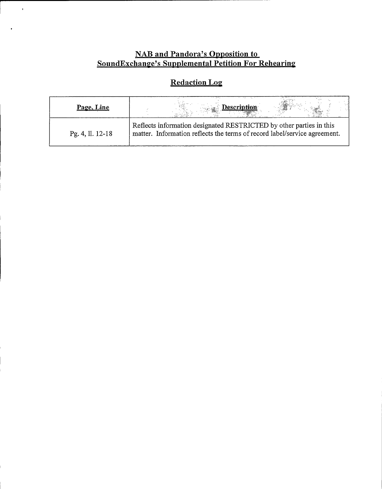# **NAB and Pandora's Opposition to**<br>SoundExchange's Supplemental Petition For Rehearing

 $\hat{\mathbf{v}}$ 

 $\ddot{\phantom{a}}$ 

### **Redaction Log**

| Page, Line       | <b>Description</b>                                                                                                                               |
|------------------|--------------------------------------------------------------------------------------------------------------------------------------------------|
| Pg. 4, ll. 12-18 | Reflects information designated RESTRICTED by other parties in this<br>matter. Information reflects the terms of record label/service agreement. |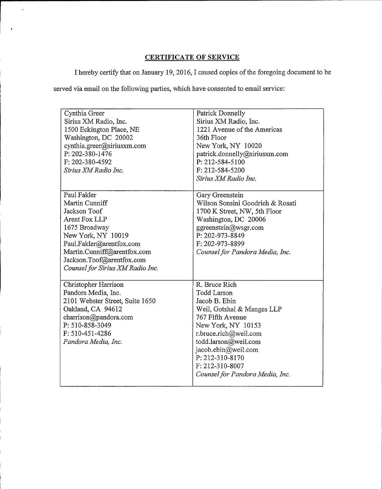#### CERTIFICATE OF SERVICE

I hereby certify that on January 19, 2016, I caused copies ofthe foregoing document to be

served via email on the following parties, which have consented to email service:

 $\ddot{\phantom{0}}$ 

 $\ddot{\mathbf{r}}$ 

| Cynthia Greer<br>Sirius XM Radio, Inc.<br>1500 Eckington Place, NE<br>Washington, DC 20002<br>cynthia.greer@siriusxm.com<br>P: 202-380-1476<br>F: 202-380-4592<br>Sirius XM Radio Inc.                                            | <b>Patrick Donnelly</b><br>Sirius XM Radio, Inc.<br>1221 Avenue of the Americas<br>36th Floor<br>New York, NY 10020<br>patrick.donnelly@siriusxm.com<br>P: 212-584-5100<br>F: 212-584-5200<br>Sirius XM Radio Inc.                                                            |
|-----------------------------------------------------------------------------------------------------------------------------------------------------------------------------------------------------------------------------------|-------------------------------------------------------------------------------------------------------------------------------------------------------------------------------------------------------------------------------------------------------------------------------|
| Paul Fakler<br>Martin Cunniff<br>Jackson Toof<br>Arent Fox LLP<br>1675 Broadway<br>New York, NY 10019<br>Paul.Fakler@arentfox.com<br>Martin.Cunniff@arentfox.com<br>Jackson.Toof@arentfox.com<br>Counsel for Sirius XM Radio Inc. | Gary Greenstein<br>Wilson Sonsini Goodrich & Rosati<br>1700 K Street, NW, 5th Floor<br>Washington, DC 20006<br>ggreenstein@wsgr.com<br>P: 202-973-8849<br>F: 202-973-8899<br>Counsel for Pandora Media, Inc.                                                                  |
| Christopher Harrison<br>Pandora Media, Inc.<br>2101 Webster Street, Suite 1650<br>Oakland, CA 94612<br>charrison@pandora.com<br>P: 510-858-3049<br>F: 510-451-4286<br>Pandora Media, Inc.                                         | R. Bruce Rich<br><b>Todd Larson</b><br>Jacob B. Ebin<br>Weil, Gotshal & Manges LLP<br>767 Fifth Avenue<br>New York, NY 10153<br>r.bruce.rich@weil.com<br>todd.larson@weil.com<br>jacob.ebin@weil.com<br>P: 212-310-8170<br>F: 212-310-8007<br>Counsel for Pandora Media, Inc. |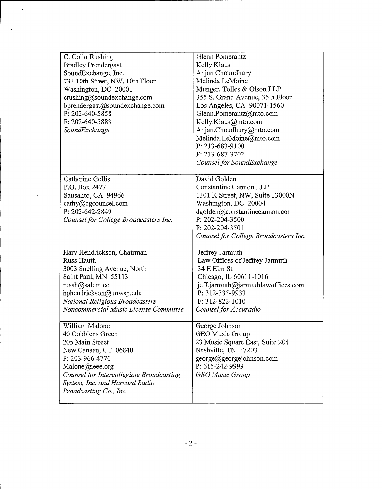| C. Colin Rushing                         | Glenn Pomerantz                       |
|------------------------------------------|---------------------------------------|
| <b>Bradley Prendergast</b>               | Kelly Klaus                           |
| SoundExchange, Inc.                      | Anjan Choundhury                      |
| 733 10th Street, NW, 10th Floor          | Melinda LeMoine                       |
| Washington, DC 20001                     | Munger, Tolles & Olson LLP            |
| crushing@soundexchange.com               | 355 S. Grand Avenue, 35th Floor       |
| bprendergast@soundexchange.com           | Los Angeles, CA 90071-1560            |
| P: 202-640-5858                          | Glenn.Pomerantz@mto.com               |
| F: 202-640-5883                          | Kelly.Klaus@mto.com                   |
| SoundExchange                            | Anjan.Choudhury@mto.com               |
|                                          | Melinda.LeMoine@mto.com               |
|                                          | P: 213-683-9100                       |
|                                          | F: 213-687-3702                       |
|                                          | Counsel for SoundExchange             |
| Catherine Gellis                         | David Golden                          |
| P.O. Box 2477                            | Constantine Cannon LLP                |
| Sausalito, CA 94966                      | 1301 K Street, NW, Suite 13000N       |
| cathy@cgcounsel.com                      | Washington, DC 20004                  |
| P: 202-642-2849                          | dgolden@constantinecannon.com         |
| Counsel for College Broadcasters Inc.    | P: 202-204-3500                       |
|                                          | F: 202-204-3501                       |
|                                          | Counsel for College Broadcasters Inc. |
|                                          |                                       |
| Harv Hendrickson, Chairman               | Jeffrey Jarmuth                       |
| Russ Hauth                               | Law Offices of Jeffrey Jarmuth        |
| 3003 Snelling Avenue, North              | 34 E Elm St                           |
| Saint Paul, MN 55113                     | Chicago, IL 60611-1016                |
| russh@salem.cc                           | jeff.jarmuth@jarmuthlawoffices.com    |
| hphendrickson@unwsp.edu                  | P: 312-335-9933                       |
| National Religious Broadcasters          | F: 312-822-1010                       |
| Noncommercial Music License Committee    | Counsel for Accuradio                 |
| William Malone                           | George Johnson                        |
| 40 Cobbler's Green                       | GEO Music Group                       |
| 205 Main Street                          | 23 Music Square East, Suite 204       |
| New Canaan, CT 06840                     | Nashville, TN 37203                   |
| P: 203-966-4770                          | george@georgejohnson.com              |
| Malone@ieee.org                          | P: 615-242-9999                       |
| Counsel for Intercollegiate Broadcasting | <b>GEO</b> Music Group                |
| System, Inc. and Harvard Radio           |                                       |
| Broadcasting Co., Inc.                   |                                       |
|                                          |                                       |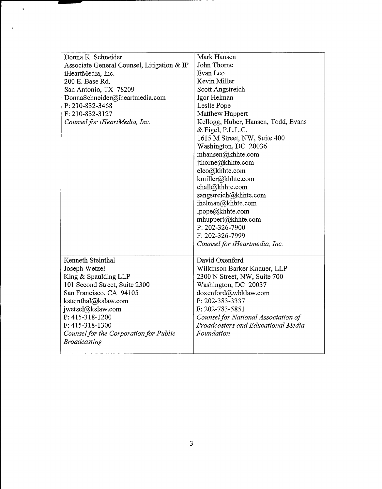| Donna K. Schneider<br>Associate General Counsel, Litigation & IP<br>iHeartMedia, Inc.<br>200 E. Base Rd.<br>San Antonio, TX 78209<br>DonnaSchneider@iheartmedia.com<br>P: 210-832-3468<br>F: 210-832-3127<br>Counsel for iHeartMedia, Inc.                          | Mark Hansen<br>John Thorne<br>Evan Leo<br>Kevin Miller<br>Scott Angstreich<br>Igor Helman<br>Leslie Pope<br>Matthew Huppert<br>Kellogg, Huber, Hansen, Todd, Evans<br>& Figel, P.L.L.C.<br>1615 M Street, NW, Suite 400                                                                |
|---------------------------------------------------------------------------------------------------------------------------------------------------------------------------------------------------------------------------------------------------------------------|----------------------------------------------------------------------------------------------------------------------------------------------------------------------------------------------------------------------------------------------------------------------------------------|
|                                                                                                                                                                                                                                                                     | Washington, DC 20036<br>mhansen@khhte.com<br>jthorne@khhte.com<br>eleo@khhte.com<br>kmiller@khhte.com<br>chall@khhte.com<br>sangstreich@khhte.com<br>ihelman@khhte.com<br>lpope@khhte.com<br>mhuppert@khhte.com<br>P: 202-326-7900<br>F: 202-326-7999<br>Counsel for iHeartmedia, Inc. |
| Kenneth Steinthal<br>Joseph Wetzel<br>King & Spaulding LLP<br>101 Second Street, Suite 2300<br>San Francisco, CA 94105<br>ksteinthal@kslaw.com<br>jwetzel@kslaw.com<br>P: 415-318-1200<br>F: 415-318-1300<br>Counsel for the Corporation for Public<br>Broadcasting | David Oxenford<br>Wilkinson Barker Knauer, LLP<br>2300 N Street, NW, Suite 700<br>Washington, DC 20037<br>doxenford@wbklaw.com<br>P: 202-383-3337<br>F: 202-783-5851<br>Counsel for National Association of<br><b>Broadcasters and Educational Media</b><br>Foundation                 |

 $\hat{\mathbf{v}}$ 

 $\overline{ }$